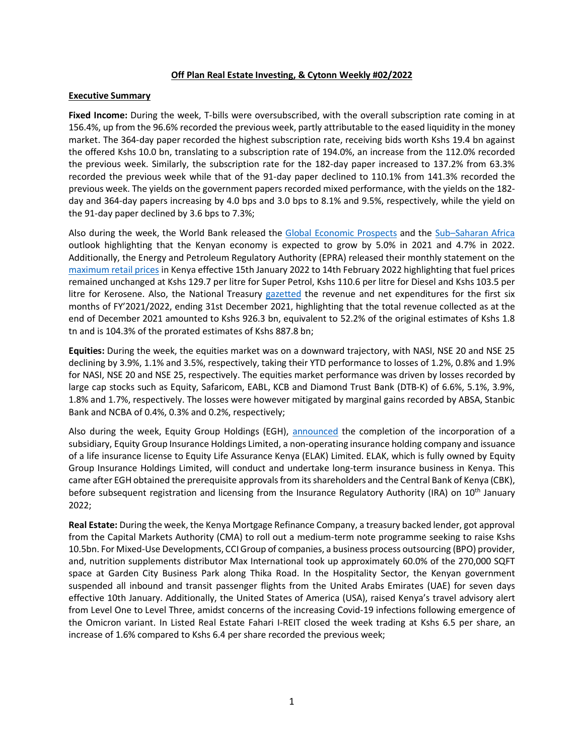### **Off Plan Real Estate Investing, & Cytonn Weekly #02/2022**

### **Executive Summary**

**Fixed Income:** During the week, T-bills were oversubscribed, with the overall subscription rate coming in at 156.4%, up from the 96.6% recorded the previous week, partly attributable to the eased liquidity in the money market. The 364-day paper recorded the highest subscription rate, receiving bids worth Kshs 19.4 bn against the offered Kshs 10.0 bn, translating to a subscription rate of 194.0%, an increase from the 112.0% recorded the previous week. Similarly, the subscription rate for the 182-day paper increased to 137.2% from 63.3% recorded the previous week while that of the 91-day paper declined to 110.1% from 141.3% recorded the previous week. The yields on the government papers recorded mixed performance, with the yields on the 182 day and 364-day papers increasing by 4.0 bps and 3.0 bps to 8.1% and 9.5%, respectively, while the yield on the 91-day paper declined by 3.6 bps to 7.3%;

Also during the week, the World Bank released the Global Economic Prospects and the Sub–Saharan Africa outlook highlighting that the Kenyan economy is expected to grow by 5.0% in 2021 and 4.7% in 2022. Additionally, the Energy and Petroleum Regulatory Authority (EPRA) released their monthly statement on the maximum retail prices in Kenya effective 15th January 2022 to 14th February 2022 highlighting that fuel prices remained unchanged at Kshs 129.7 per litre for Super Petrol, Kshs 110.6 per litre for Diesel and Kshs 103.5 per litre for Kerosene. Also, the National Treasury gazetted the revenue and net expenditures for the first six months of FY'2021/2022, ending 31st December 2021, highlighting that the total revenue collected as at the end of December 2021 amounted to Kshs 926.3 bn, equivalent to 52.2% of the original estimates of Kshs 1.8 tn and is 104.3% of the prorated estimates of Kshs 887.8 bn;

**Equities:** During the week, the equities market was on a downward trajectory, with NASI, NSE 20 and NSE 25 declining by 3.9%, 1.1% and 3.5%, respectively, taking their YTD performance to losses of 1.2%, 0.8% and 1.9% for NASI, NSE 20 and NSE 25, respectively. The equities market performance was driven by losses recorded by large cap stocks such as Equity, Safaricom, EABL, KCB and Diamond Trust Bank (DTB-K) of 6.6%, 5.1%, 3.9%, 1.8% and 1.7%, respectively. The losses were however mitigated by marginal gains recorded by ABSA, Stanbic Bank and NCBA of 0.4%, 0.3% and 0.2%, respectively;

Also during the week, Equity Group Holdings (EGH), announced the completion of the incorporation of a subsidiary, Equity Group Insurance Holdings Limited, a non-operating insurance holding company and issuance of a life insurance license to Equity Life Assurance Kenya (ELAK) Limited. ELAK, which is fully owned by Equity Group Insurance Holdings Limited, will conduct and undertake long-term insurance business in Kenya. This came after EGH obtained the prerequisite approvals from its shareholders and the Central Bank of Kenya (CBK), before subsequent registration and licensing from the Insurance Regulatory Authority (IRA) on 10<sup>th</sup> January 2022;

**Real Estate:** During the week, the Kenya Mortgage Refinance Company, a treasury backed lender, got approval from the Capital Markets Authority (CMA) to roll out a medium-term note programme seeking to raise Kshs 10.5bn. For Mixed-Use Developments, CCI Group of companies, a business process outsourcing (BPO) provider, and, nutrition supplements distributor Max International took up approximately 60.0% of the 270,000 SQFT space at Garden City Business Park along Thika Road. In the Hospitality Sector, the Kenyan government suspended all inbound and transit passenger flights from the United Arabs Emirates (UAE) for seven days effective 10th January. Additionally, the United States of America (USA), raised Kenya's travel advisory alert from Level One to Level Three, amidst concerns of the increasing Covid-19 infections following emergence of the Omicron variant. In Listed Real Estate Fahari I-REIT closed the week trading at Kshs 6.5 per share, an increase of 1.6% compared to Kshs 6.4 per share recorded the previous week;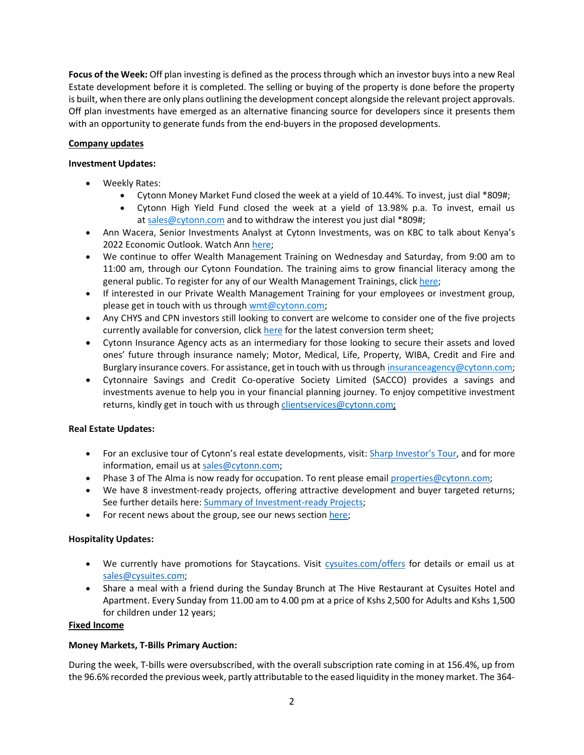**Focus of the Week:** Off plan investing is defined as the process through which an investor buys into a new Real Estate development before it is completed. The selling or buying of the property is done before the property is built, when there are only plans outlining the development concept alongside the relevant project approvals. Off plan investments have emerged as an alternative financing source for developers since it presents them with an opportunity to generate funds from the end-buyers in the proposed developments.

# **Company updates**

# **Investment Updates:**

- Weekly Rates:
	- Cytonn Money Market Fund closed the week at a yield of 10.44%. To invest, just dial \*809#;
	- Cytonn High Yield Fund closed the week at a yield of 13.98% p.a. To invest, email us at sales@cytonn.com and to withdraw the interest you just dial \*809#;
- Ann Wacera, Senior Investments Analyst at Cytonn Investments, was on KBC to talk about Kenya's 2022 Economic Outlook. Watch Ann here;
- We continue to offer Wealth Management Training on Wednesday and Saturday, from 9:00 am to 11:00 am, through our Cytonn Foundation. The training aims to grow financial literacy among the general public. To register for any of our Wealth Management Trainings, click here;
- If interested in our Private Wealth Management Training for your employees or investment group, please get in touch with us through wmt@cytonn.com;
- Any CHYS and CPN investors still looking to convert are welcome to consider one of the five projects currently available for conversion, click here for the latest conversion term sheet;
- Cytonn Insurance Agency acts as an intermediary for those looking to secure their assets and loved ones' future through insurance namely; Motor, Medical, Life, Property, WIBA, Credit and Fire and Burglary insurance covers. For assistance, get in touch with us through insuranceagency@cytonn.com;
- Cytonnaire Savings and Credit Co-operative Society Limited (SACCO) provides a savings and investments avenue to help you in your financial planning journey. To enjoy competitive investment returns, kindly get in touch with us through clientservices@cytonn.com;

# **Real Estate Updates:**

- For an exclusive tour of Cytonn's real estate developments, visit: Sharp Investor's Tour, and for more information, email us at sales@cytonn.com;
- Phase 3 of The Alma is now ready for occupation. To rent please email properties@cytonn.com;
- We have 8 investment-ready projects, offering attractive development and buyer targeted returns; See further details here: Summary of Investment-ready Projects;
- For recent news about the group, see our news section here;

## **Hospitality Updates:**

- We currently have promotions for Staycations. Visit cysuites.com/offers for details or email us at sales@cysuites.com;
- Share a meal with a friend during the Sunday Brunch at The Hive Restaurant at Cysuites Hotel and Apartment. Every Sunday from 11.00 am to 4.00 pm at a price of Kshs 2,500 for Adults and Kshs 1,500 for children under 12 years;

## **Fixed Income**

## **Money Markets, T-Bills Primary Auction:**

During the week, T-bills were oversubscribed, with the overall subscription rate coming in at 156.4%, up from the 96.6% recorded the previous week, partly attributable to the eased liquidity in the money market. The 364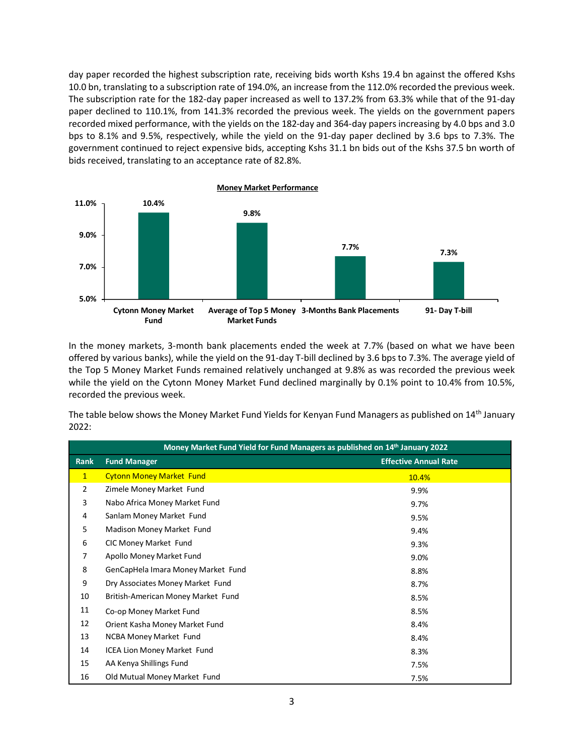day paper recorded the highest subscription rate, receiving bids worth Kshs 19.4 bn against the offered Kshs 10.0 bn, translating to a subscription rate of 194.0%, an increase from the 112.0% recorded the previous week. The subscription rate for the 182-day paper increased as well to 137.2% from 63.3% while that of the 91-day paper declined to 110.1%, from 141.3% recorded the previous week. The yields on the government papers recorded mixed performance, with the yields on the 182-day and 364-day papers increasing by 4.0 bps and 3.0 bps to 8.1% and 9.5%, respectively, while the yield on the 91-day paper declined by 3.6 bps to 7.3%. The government continued to reject expensive bids, accepting Kshs 31.1 bn bids out of the Kshs 37.5 bn worth of bids received, translating to an acceptance rate of 82.8%.



In the money markets, 3-month bank placements ended the week at 7.7% (based on what we have been offered by various banks), while the yield on the 91-day T-bill declined by 3.6 bps to 7.3%. The average yield of the Top 5 Money Market Funds remained relatively unchanged at 9.8% as was recorded the previous week while the yield on the Cytonn Money Market Fund declined marginally by 0.1% point to 10.4% from 10.5%, recorded the previous week.

The table below shows the Money Market Fund Yields for Kenyan Fund Managers as published on 14<sup>th</sup> January 2022:

|              | Money Market Fund Yield for Fund Managers as published on 14th January 2022 |                              |  |  |  |  |  |  |  |  |  |
|--------------|-----------------------------------------------------------------------------|------------------------------|--|--|--|--|--|--|--|--|--|
| Rank         | <b>Fund Manager</b>                                                         | <b>Effective Annual Rate</b> |  |  |  |  |  |  |  |  |  |
| $\mathbf{1}$ | <b>Cytonn Money Market Fund</b>                                             | 10.4%                        |  |  |  |  |  |  |  |  |  |
| 2            | Zimele Money Market Fund                                                    | 9.9%                         |  |  |  |  |  |  |  |  |  |
| 3            | Nabo Africa Money Market Fund                                               | 9.7%                         |  |  |  |  |  |  |  |  |  |
| 4            | Sanlam Money Market Fund                                                    | 9.5%                         |  |  |  |  |  |  |  |  |  |
| 5            | Madison Money Market Fund                                                   | 9.4%                         |  |  |  |  |  |  |  |  |  |
| 6            | CIC Money Market Fund                                                       | 9.3%                         |  |  |  |  |  |  |  |  |  |
| 7            | Apollo Money Market Fund                                                    | 9.0%                         |  |  |  |  |  |  |  |  |  |
| 8            | GenCapHela Imara Money Market Fund                                          | 8.8%                         |  |  |  |  |  |  |  |  |  |
| 9            | Dry Associates Money Market Fund                                            | 8.7%                         |  |  |  |  |  |  |  |  |  |
| 10           | British-American Money Market Fund                                          | 8.5%                         |  |  |  |  |  |  |  |  |  |
| 11           | Co-op Money Market Fund                                                     | 8.5%                         |  |  |  |  |  |  |  |  |  |
| 12           | Orient Kasha Money Market Fund                                              | 8.4%                         |  |  |  |  |  |  |  |  |  |
| 13           | <b>NCBA Money Market Fund</b>                                               | 8.4%                         |  |  |  |  |  |  |  |  |  |
| 14           | ICEA Lion Money Market Fund                                                 | 8.3%                         |  |  |  |  |  |  |  |  |  |
| 15           | AA Kenya Shillings Fund                                                     | 7.5%                         |  |  |  |  |  |  |  |  |  |
| 16           | Old Mutual Money Market Fund                                                | 7.5%                         |  |  |  |  |  |  |  |  |  |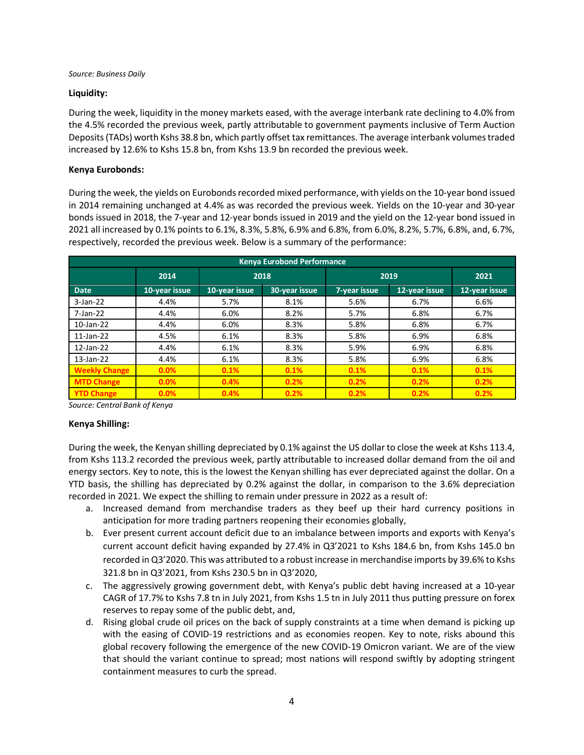*Source: Business Daily*

## **Liquidity:**

During the week, liquidity in the money markets eased, with the average interbank rate declining to 4.0% from the 4.5% recorded the previous week, partly attributable to government payments inclusive of Term Auction Deposits (TADs) worth Kshs 38.8 bn, which partly offset tax remittances. The average interbank volumes traded increased by 12.6% to Kshs 15.8 bn, from Kshs 13.9 bn recorded the previous week.

## **Kenya Eurobonds:**

During the week, the yields on Eurobonds recorded mixed performance, with yields on the 10-year bond issued in 2014 remaining unchanged at 4.4% as was recorded the previous week. Yields on the 10-year and 30-year bonds issued in 2018, the 7-year and 12-year bonds issued in 2019 and the yield on the 12-year bond issued in 2021 all increased by 0.1% points to 6.1%, 8.3%, 5.8%, 6.9% and 6.8%, from 6.0%, 8.2%, 5.7%, 6.8%, and, 6.7%, respectively, recorded the previous week. Below is a summary of the performance:

| <b>Kenya Eurobond Performance</b> |               |               |               |      |               |               |  |  |  |  |  |  |  |
|-----------------------------------|---------------|---------------|---------------|------|---------------|---------------|--|--|--|--|--|--|--|
|                                   | 2014          |               | 2018          | 2019 | 2021          |               |  |  |  |  |  |  |  |
| Date                              | 10-year issue | 10-year issue | 30-year issue |      | 12-year issue | 12-year issue |  |  |  |  |  |  |  |
| $3-Jan-22$                        | 4.4%          | 5.7%          | 8.1%          | 5.6% | 6.7%          | 6.6%          |  |  |  |  |  |  |  |
| 7-Jan-22                          | 4.4%          | 6.0%          | 8.2%          | 5.7% | 6.8%          | 6.7%          |  |  |  |  |  |  |  |
| $10$ -Jan-22                      | 4.4%          | 6.0%          | 8.3%          | 5.8% | 6.8%          | 6.7%          |  |  |  |  |  |  |  |
| $11$ -Jan-22                      | 4.5%          | 6.1%          | 8.3%          | 5.8% | 6.9%          | 6.8%          |  |  |  |  |  |  |  |
| 12-Jan-22                         | 4.4%          | 6.1%          | 8.3%          | 5.9% | 6.9%          | 6.8%          |  |  |  |  |  |  |  |
| 13-Jan-22                         | 4.4%          | 6.1%          | 8.3%          | 5.8% | 6.9%          | 6.8%          |  |  |  |  |  |  |  |
| <b>Weekly Change</b>              | 0.0%          | 0.1%          | 0.1%          | 0.1% | 0.1%          | 0.1%          |  |  |  |  |  |  |  |
| <b>MTD Change</b>                 | 0.0%          | 0.4%          | 0.2%          | 0.2% | 0.2%          | 0.2%          |  |  |  |  |  |  |  |
| <b>YTD Change</b>                 | 0.0%          | 0.4%          | 0.2%          | 0.2% | 0.2%          | 0.2%          |  |  |  |  |  |  |  |

*Source: Central Bank of Kenya*

## **Kenya Shilling:**

During the week, the Kenyan shilling depreciated by 0.1% against the US dollar to close the week at Kshs 113.4, from Kshs 113.2 recorded the previous week, partly attributable to increased dollar demand from the oil and energy sectors. Key to note, this is the lowest the Kenyan shilling has ever depreciated against the dollar. On a YTD basis, the shilling has depreciated by 0.2% against the dollar, in comparison to the 3.6% depreciation recorded in 2021. We expect the shilling to remain under pressure in 2022 as a result of:

- a. Increased demand from merchandise traders as they beef up their hard currency positions in anticipation for more trading partners reopening their economies globally,
- b. Ever present current account deficit due to an imbalance between imports and exports with Kenya's current account deficit having expanded by 27.4% in Q3'2021 to Kshs 184.6 bn, from Kshs 145.0 bn recorded in Q3'2020. This was attributed to a robust increase in merchandise imports by 39.6% to Kshs 321.8 bn in Q3'2021, from Kshs 230.5 bn in Q3'2020,
- c. The aggressively growing government debt, with Kenya's public debt having increased at a 10-year CAGR of 17.7% to Kshs 7.8 tn in July 2021, from Kshs 1.5 tn in July 2011 thus putting pressure on forex reserves to repay some of the public debt, and,
- d. Rising global crude oil prices on the back of supply constraints at a time when demand is picking up with the easing of COVID-19 restrictions and as economies reopen. Key to note, risks abound this global recovery following the emergence of the new COVID-19 Omicron variant. We are of the view that should the variant continue to spread; most nations will respond swiftly by adopting stringent containment measures to curb the spread.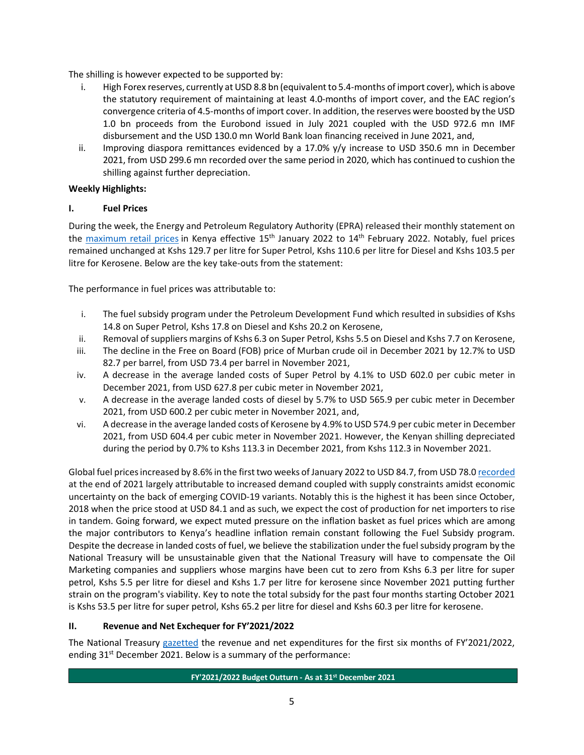The shilling is however expected to be supported by:

- i. High Forex reserves, currently at USD 8.8 bn (equivalent to 5.4-months of import cover), which is above the statutory requirement of maintaining at least 4.0-months of import cover, and the EAC region's convergence criteria of 4.5-months of import cover. In addition, the reserves were boosted by the USD 1.0 bn proceeds from the Eurobond issued in July 2021 coupled with the USD 972.6 mn IMF disbursement and the USD 130.0 mn World Bank loan financing received in June 2021, and,
- ii. Improving diaspora remittances evidenced by a 17.0% y/y increase to USD 350.6 mn in December 2021, from USD 299.6 mn recorded over the same period in 2020, which has continued to cushion the shilling against further depreciation.

# **Weekly Highlights:**

# **I. Fuel Prices**

During the week, the Energy and Petroleum Regulatory Authority (EPRA) released their monthly statement on the maximum retail prices in Kenya effective 15<sup>th</sup> January 2022 to 14<sup>th</sup> February 2022. Notably, fuel prices remained unchanged at Kshs 129.7 per litre for Super Petrol, Kshs 110.6 per litre for Diesel and Kshs 103.5 per litre for Kerosene. Below are the key take-outs from the statement:

The performance in fuel prices was attributable to:

- i. The fuel subsidy program under the Petroleum Development Fund which resulted in subsidies of Kshs 14.8 on Super Petrol, Kshs 17.8 on Diesel and Kshs 20.2 on Kerosene,
- ii. Removal of suppliers margins of Kshs 6.3 on Super Petrol, Kshs 5.5 on Diesel and Kshs 7.7 on Kerosene,
- iii. The decline in the Free on Board (FOB) price of Murban crude oil in December 2021 by 12.7% to USD 82.7 per barrel, from USD 73.4 per barrel in November 2021,
- iv. A decrease in the average landed costs of Super Petrol by 4.1% to USD 602.0 per cubic meter in December 2021, from USD 627.8 per cubic meter in November 2021,
- v. A decrease in the average landed costs of diesel by 5.7% to USD 565.9 per cubic meter in December 2021, from USD 600.2 per cubic meter in November 2021, and,
- vi. A decrease in the average landed costs of Kerosene by 4.9% to USD 574.9 per cubic meter in December 2021, from USD 604.4 per cubic meter in November 2021. However, the Kenyan shilling depreciated during the period by 0.7% to Kshs 113.3 in December 2021, from Kshs 112.3 in November 2021.

Global fuel prices increased by 8.6% in the first two weeks of January 2022 to USD 84.7, from USD 78.0 recorded at the end of 2021 largely attributable to increased demand coupled with supply constraints amidst economic uncertainty on the back of emerging COVID-19 variants. Notably this is the highest it has been since October, 2018 when the price stood at USD 84.1 and as such, we expect the cost of production for net importers to rise in tandem. Going forward, we expect muted pressure on the inflation basket as fuel prices which are among the major contributors to Kenya's headline inflation remain constant following the Fuel Subsidy program. Despite the decrease in landed costs of fuel, we believe the stabilization under the fuel subsidy program by the National Treasury will be unsustainable given that the National Treasury will have to compensate the Oil Marketing companies and suppliers whose margins have been cut to zero from Kshs 6.3 per litre for super petrol, Kshs 5.5 per litre for diesel and Kshs 1.7 per litre for kerosene since November 2021 putting further strain on the program's viability. Key to note the total subsidy for the past four months starting October 2021 is Kshs 53.5 per litre for super petrol, Kshs 65.2 per litre for diesel and Kshs 60.3 per litre for kerosene.

# **II. Revenue and Net Exchequer for FY'2021/2022**

The National Treasury gazetted the revenue and net expenditures for the first six months of FY'2021/2022, ending 31<sup>st</sup> December 2021. Below is a summary of the performance: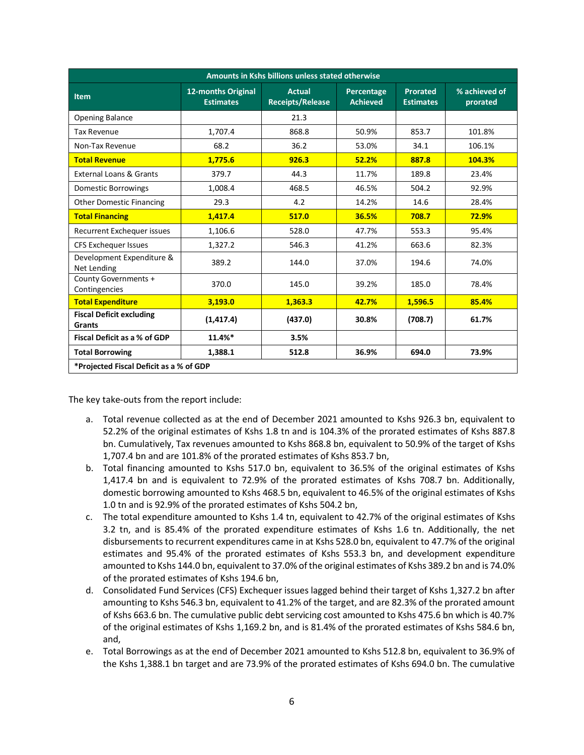|                                                  | Amounts in Kshs billions unless stated otherwise |                                          |                               |                                     |                           |  |  |  |  |  |  |  |  |
|--------------------------------------------------|--------------------------------------------------|------------------------------------------|-------------------------------|-------------------------------------|---------------------------|--|--|--|--|--|--|--|--|
| <b>Item</b>                                      | 12-months Original<br><b>Estimates</b>           | <b>Actual</b><br><b>Receipts/Release</b> | Percentage<br><b>Achieved</b> | <b>Prorated</b><br><b>Estimates</b> | % achieved of<br>prorated |  |  |  |  |  |  |  |  |
| <b>Opening Balance</b>                           |                                                  | 21.3                                     |                               |                                     |                           |  |  |  |  |  |  |  |  |
| <b>Tax Revenue</b>                               | 1,707.4                                          | 868.8                                    | 50.9%                         | 853.7                               | 101.8%                    |  |  |  |  |  |  |  |  |
| Non-Tax Revenue                                  | 68.2                                             | 36.2                                     | 53.0%                         | 34.1                                | 106.1%                    |  |  |  |  |  |  |  |  |
| <b>Total Revenue</b>                             | 1.775.6                                          | 926.3                                    | 52.2%                         | 887.8                               | 104.3%                    |  |  |  |  |  |  |  |  |
| External Loans & Grants                          | 379.7                                            | 44.3                                     | 11.7%                         | 189.8                               | 23.4%                     |  |  |  |  |  |  |  |  |
| <b>Domestic Borrowings</b>                       | 1,008.4                                          | 468.5                                    | 46.5%                         | 504.2                               | 92.9%                     |  |  |  |  |  |  |  |  |
| <b>Other Domestic Financing</b>                  | 29.3                                             | 4.2                                      | 14.2%                         | 14.6                                | 28.4%                     |  |  |  |  |  |  |  |  |
| <b>Total Financing</b>                           | 1,417.4                                          | 517.0                                    | 36.5%                         | 708.7                               | 72.9%                     |  |  |  |  |  |  |  |  |
| Recurrent Exchequer issues                       | 1,106.6                                          | 528.0                                    | 47.7%                         | 553.3                               | 95.4%                     |  |  |  |  |  |  |  |  |
| <b>CFS Exchequer Issues</b>                      | 1,327.2                                          | 546.3                                    | 41.2%                         | 663.6                               | 82.3%                     |  |  |  |  |  |  |  |  |
| Development Expenditure &<br>Net Lending         | 389.2                                            | 144.0                                    | 37.0%                         | 194.6                               | 74.0%                     |  |  |  |  |  |  |  |  |
| County Governments +<br>Contingencies            | 370.0                                            | 145.0                                    | 39.2%                         | 185.0                               | 78.4%                     |  |  |  |  |  |  |  |  |
| <b>Total Expenditure</b>                         | 3,193.0                                          | 1,363.3                                  | 42.7%                         | 1,596.5                             | 85.4%                     |  |  |  |  |  |  |  |  |
| <b>Fiscal Deficit excluding</b><br><b>Grants</b> | (1, 417.4)                                       | (437.0)                                  | 30.8%                         | (708.7)                             | 61.7%                     |  |  |  |  |  |  |  |  |
| <b>Fiscal Deficit as a % of GDP</b>              | 11.4%*                                           | 3.5%                                     |                               |                                     |                           |  |  |  |  |  |  |  |  |
| <b>Total Borrowing</b>                           | 1,388.1                                          | 512.8                                    | 36.9%                         | 694.0                               | 73.9%                     |  |  |  |  |  |  |  |  |
| *Projected Fiscal Deficit as a % of GDP          |                                                  |                                          |                               |                                     |                           |  |  |  |  |  |  |  |  |

The key take-outs from the report include:

- a. Total revenue collected as at the end of December 2021 amounted to Kshs 926.3 bn, equivalent to 52.2% of the original estimates of Kshs 1.8 tn and is 104.3% of the prorated estimates of Kshs 887.8 bn. Cumulatively, Tax revenues amounted to Kshs 868.8 bn, equivalent to 50.9% of the target of Kshs 1,707.4 bn and are 101.8% of the prorated estimates of Kshs 853.7 bn,
- b. Total financing amounted to Kshs 517.0 bn, equivalent to 36.5% of the original estimates of Kshs 1,417.4 bn and is equivalent to 72.9% of the prorated estimates of Kshs 708.7 bn. Additionally, domestic borrowing amounted to Kshs 468.5 bn, equivalent to 46.5% of the original estimates of Kshs 1.0 tn and is 92.9% of the prorated estimates of Kshs 504.2 bn,
- c. The total expenditure amounted to Kshs 1.4 tn, equivalent to 42.7% of the original estimates of Kshs 3.2 tn, and is 85.4% of the prorated expenditure estimates of Kshs 1.6 tn. Additionally, the net disbursements to recurrent expenditures came in at Kshs 528.0 bn, equivalent to 47.7% of the original estimates and 95.4% of the prorated estimates of Kshs 553.3 bn, and development expenditure amounted to Kshs 144.0 bn, equivalent to 37.0% of the original estimates of Kshs 389.2 bn and is 74.0% of the prorated estimates of Kshs 194.6 bn,
- d. Consolidated Fund Services (CFS) Exchequer issues lagged behind their target of Kshs 1,327.2 bn after amounting to Kshs 546.3 bn, equivalent to 41.2% of the target, and are 82.3% of the prorated amount of Kshs 663.6 bn. The cumulative public debt servicing cost amounted to Kshs 475.6 bn which is 40.7% of the original estimates of Kshs 1,169.2 bn, and is 81.4% of the prorated estimates of Kshs 584.6 bn, and,
- e. Total Borrowings as at the end of December 2021 amounted to Kshs 512.8 bn, equivalent to 36.9% of the Kshs 1,388.1 bn target and are 73.9% of the prorated estimates of Kshs 694.0 bn. The cumulative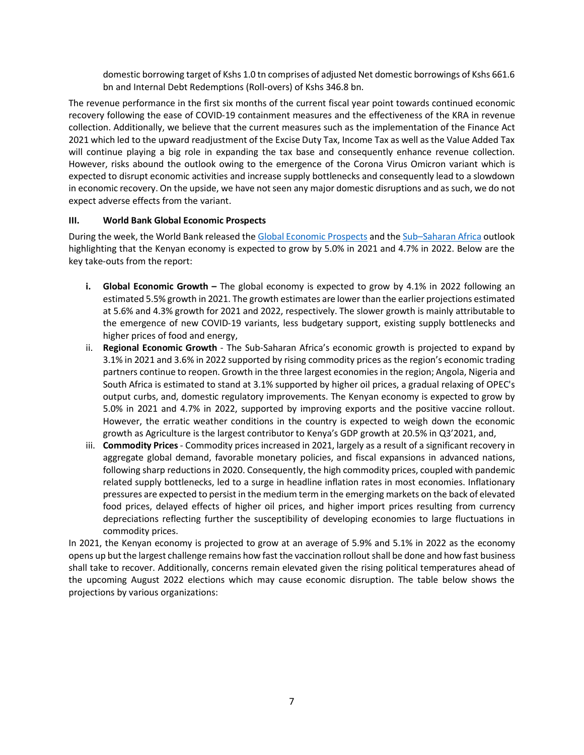domestic borrowing target of Kshs 1.0 tn comprises of adjusted Net domestic borrowings of Kshs 661.6 bn and Internal Debt Redemptions (Roll-overs) of Kshs 346.8 bn.

The revenue performance in the first six months of the current fiscal year point towards continued economic recovery following the ease of COVID-19 containment measures and the effectiveness of the KRA in revenue collection. Additionally, we believe that the current measures such as the implementation of the Finance Act 2021 which led to the upward readjustment of the Excise Duty Tax, Income Tax as well as the Value Added Tax will continue playing a big role in expanding the tax base and consequently enhance revenue collection. However, risks abound the outlook owing to the emergence of the Corona Virus Omicron variant which is expected to disrupt economic activities and increase supply bottlenecks and consequently lead to a slowdown in economic recovery. On the upside, we have not seen any major domestic disruptions and as such, we do not expect adverse effects from the variant.

## **III. World Bank Global Economic Prospects**

During the week, the World Bank released the Global Economic Prospects and the Sub–Saharan Africa outlook highlighting that the Kenyan economy is expected to grow by 5.0% in 2021 and 4.7% in 2022. Below are the key take-outs from the report:

- **i. Global Economic Growth –** The global economy is expected to grow by 4.1% in 2022 following an estimated 5.5% growth in 2021. The growth estimates are lower than the earlier projections estimated at 5.6% and 4.3% growth for 2021 and 2022, respectively. The slower growth is mainly attributable to the emergence of new COVID-19 variants, less budgetary support, existing supply bottlenecks and higher prices of food and energy,
- ii. **Regional Economic Growth** The Sub-Saharan Africa's economic growth is projected to expand by 3.1% in 2021 and 3.6% in 2022 supported by rising commodity prices as the region's economic trading partners continue to reopen. Growth in the three largest economies in the region; Angola, Nigeria and South Africa is estimated to stand at 3.1% supported by higher oil prices, a gradual relaxing of OPEC's output curbs, and, domestic regulatory improvements. The Kenyan economy is expected to grow by 5.0% in 2021 and 4.7% in 2022, supported by improving exports and the positive vaccine rollout. However, the erratic weather conditions in the country is expected to weigh down the economic growth as Agriculture is the largest contributor to Kenya's GDP growth at 20.5% in Q3'2021, and,
- iii. **Commodity Prices** Commodity prices increased in 2021, largely as a result of a significant recovery in aggregate global demand, favorable monetary policies, and fiscal expansions in advanced nations, following sharp reductions in 2020. Consequently, the high commodity prices, coupled with pandemic related supply bottlenecks, led to a surge in headline inflation rates in most economies. Inflationary pressures are expected to persist in the medium term in the emerging markets on the back of elevated food prices, delayed effects of higher oil prices, and higher import prices resulting from currency depreciations reflecting further the susceptibility of developing economies to large fluctuations in commodity prices.

In 2021, the Kenyan economy is projected to grow at an average of 5.9% and 5.1% in 2022 as the economy opens up but the largest challenge remains how fast the vaccination rollout shall be done and how fast business shall take to recover. Additionally, concerns remain elevated given the rising political temperatures ahead of the upcoming August 2022 elections which may cause economic disruption. The table below shows the projections by various organizations: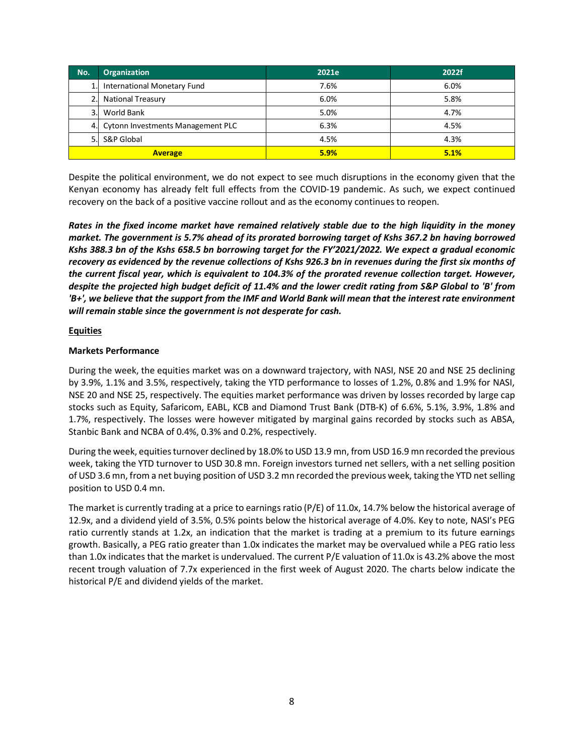| No. | <b>Organization</b>               | 2021e | 2022f |
|-----|-----------------------------------|-------|-------|
| 1.1 | International Monetary Fund       | 7.6%  | 6.0%  |
| 2.  | <b>National Treasury</b>          | 6.0%  | 5.8%  |
| 3.1 | World Bank                        | 5.0%  | 4.7%  |
| 4.  | Cytonn Investments Management PLC | 6.3%  | 4.5%  |
| 51  | S&P Global                        | 4.5%  | 4.3%  |
|     | <b>Average</b>                    | 5.9%  | 5.1%  |

Despite the political environment, we do not expect to see much disruptions in the economy given that the Kenyan economy has already felt full effects from the COVID-19 pandemic. As such, we expect continued recovery on the back of a positive vaccine rollout and as the economy continues to reopen.

*Rates in the fixed income market have remained relatively stable due to the high liquidity in the money market. The government is 5.7% ahead of its prorated borrowing target of Kshs 367.2 bn having borrowed Kshs 388.3 bn of the Kshs 658.5 bn borrowing target for the FY'2021/2022. We expect a gradual economic recovery as evidenced by the revenue collections of Kshs 926.3 bn in revenues during the first six months of the current fiscal year, which is equivalent to 104.3% of the prorated revenue collection target. However, despite the projected high budget deficit of 11.4% and the lower credit rating from S&P Global to 'B' from 'B+', we believe that the support from the IMF and World Bank will mean that the interest rate environment will remain stable since the government is not desperate for cash.*

## **Equities**

## **Markets Performance**

During the week, the equities market was on a downward trajectory, with NASI, NSE 20 and NSE 25 declining by 3.9%, 1.1% and 3.5%, respectively, taking the YTD performance to losses of 1.2%, 0.8% and 1.9% for NASI, NSE 20 and NSE 25, respectively. The equities market performance was driven by losses recorded by large cap stocks such as Equity, Safaricom, EABL, KCB and Diamond Trust Bank (DTB-K) of 6.6%, 5.1%, 3.9%, 1.8% and 1.7%, respectively. The losses were however mitigated by marginal gains recorded by stocks such as ABSA, Stanbic Bank and NCBA of 0.4%, 0.3% and 0.2%, respectively.

During the week, equities turnover declined by 18.0% to USD 13.9 mn, from USD 16.9 mn recorded the previous week, taking the YTD turnover to USD 30.8 mn. Foreign investors turned net sellers, with a net selling position of USD 3.6 mn, from a net buying position of USD 3.2 mn recorded the previous week, taking the YTD net selling position to USD 0.4 mn.

The market is currently trading at a price to earnings ratio (P/E) of 11.0x, 14.7% below the historical average of 12.9x, and a dividend yield of 3.5%, 0.5% points below the historical average of 4.0%. Key to note, NASI's PEG ratio currently stands at 1.2x, an indication that the market is trading at a premium to its future earnings growth. Basically, a PEG ratio greater than 1.0x indicates the market may be overvalued while a PEG ratio less than 1.0x indicates that the market is undervalued. The current P/E valuation of 11.0x is 43.2% above the most recent trough valuation of 7.7x experienced in the first week of August 2020. The charts below indicate the historical P/E and dividend yields of the market.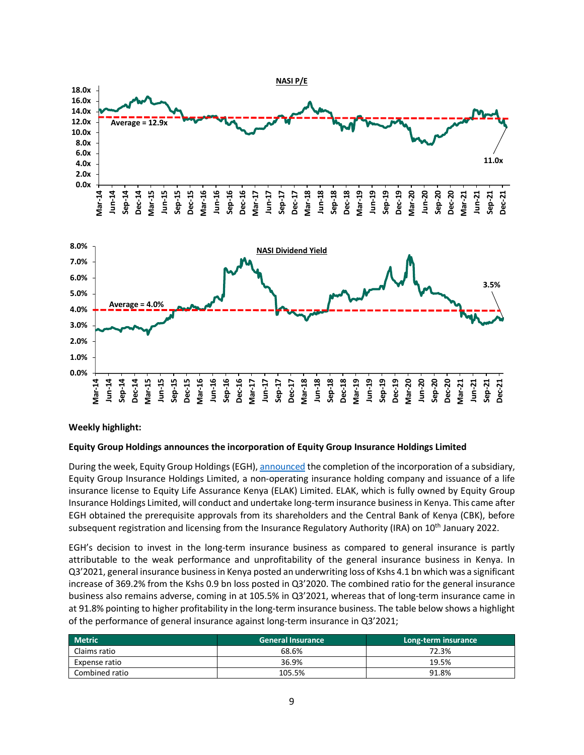

## **Weekly highlight:**

#### **Equity Group Holdings announces the incorporation of Equity Group Insurance Holdings Limited**

During the week, Equity Group Holdings (EGH), announced the completion of the incorporation of a subsidiary, Equity Group Insurance Holdings Limited, a non-operating insurance holding company and issuance of a life insurance license to Equity Life Assurance Kenya (ELAK) Limited. ELAK, which is fully owned by Equity Group Insurance Holdings Limited, will conduct and undertake long-term insurance business in Kenya. This came after EGH obtained the prerequisite approvals from its shareholders and the Central Bank of Kenya (CBK), before subsequent registration and licensing from the Insurance Regulatory Authority (IRA) on 10<sup>th</sup> January 2022.

EGH's decision to invest in the long-term insurance business as compared to general insurance is partly attributable to the weak performance and unprofitability of the general insurance business in Kenya. In Q3'2021, general insurance business in Kenya posted an underwriting loss of Kshs 4.1 bn which was a significant increase of 369.2% from the Kshs 0.9 bn loss posted in Q3'2020. The combined ratio for the general insurance business also remains adverse, coming in at 105.5% in Q3'2021, whereas that of long-term insurance came in at 91.8% pointing to higher profitability in the long-term insurance business. The table below shows a highlight of the performance of general insurance against long-term insurance in Q3'2021;

| <b>Metric</b>  | <b>General Insurance</b> | Long-term insurance |
|----------------|--------------------------|---------------------|
| Claims ratio   | 68.6%                    | 72.3%               |
| Expense ratio  | 36.9%                    | 19.5%               |
| Combined ratio | 105.5%                   | 91.8%               |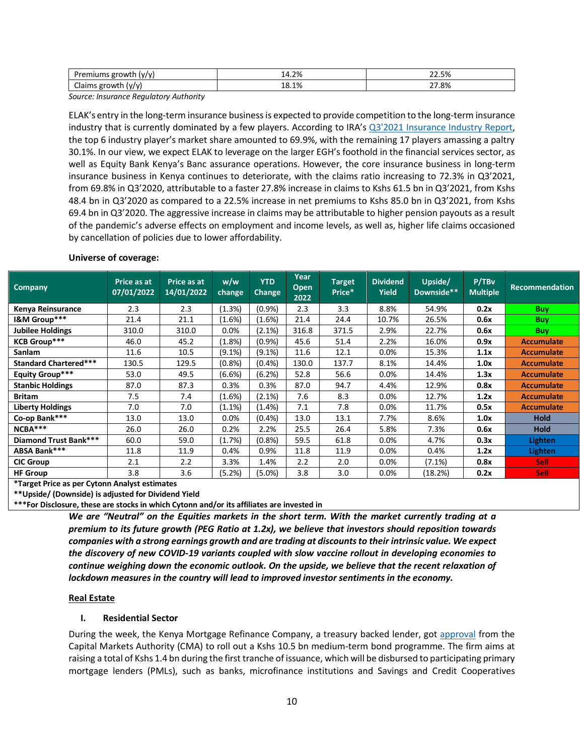| Dr.<br><b><i><u>prowth</u></i></b><br>(v/v)<br><b>CHILLIS</b> | 14.2%             | 22.5%<br>$\sim$ |
|---------------------------------------------------------------|-------------------|-----------------|
| $\sim$<br>(v/v)<br>◡                                          | 1%<br>ה ו<br>⊥8.∵ | 27.8%           |

*Source: Insurance Regulatory Authority*

ELAK's entry in the long-term insurance business is expected to provide competition to the long-term insurance industry that is currently dominated by a few players. According to IRA's Q3'2021 Insurance Industry Report, the top 6 industry player's market share amounted to 69.9%, with the remaining 17 players amassing a paltry 30.1%. In our view, we expect ELAK to leverage on the larger EGH's foothold in the financial services sector, as well as Equity Bank Kenya's Banc assurance operations. However, the core insurance business in long-term insurance business in Kenya continues to deteriorate, with the claims ratio increasing to 72.3% in Q3'2021, from 69.8% in Q3'2020, attributable to a faster 27.8% increase in claims to Kshs 61.5 bn in Q3'2021, from Kshs 48.4 bn in Q3'2020 as compared to a 22.5% increase in net premiums to Kshs 85.0 bn in Q3'2021, from Kshs 69.4 bn in Q3'2020. The aggressive increase in claims may be attributable to higher pension payouts as a result of the pandemic's adverse effects on employment and income levels, as well as, higher life claims occasioned by cancellation of policies due to lower affordability.

| <b>Company</b>               | Price as at<br>07/01/2022 | Price as at<br>14/01/2022 | w/w<br>change, | <b>YTD</b><br><b>Change</b> | Year<br>Open<br>2022 | <b>Target</b><br>Price* | <b>Dividend</b><br><b>Yield</b> | Upside/<br>Downside** | P/TBv<br><b>Multiple</b> | <b>Recommendation</b> |  |
|------------------------------|---------------------------|---------------------------|----------------|-----------------------------|----------------------|-------------------------|---------------------------------|-----------------------|--------------------------|-----------------------|--|
| Kenya Reinsurance            | 2.3                       | 2.3                       | (1.3%)         | $(0.9\%)$                   | 2.3                  | 3.3                     | 8.8%                            | 54.9%                 | 0.2x                     | <b>Buy</b>            |  |
| I&M Group***                 | 21.4                      | 21.1                      | $(1.6\%)$      | $(1.6\%)$                   | 21.4                 | 24.4                    | 10.7%                           | 26.5%                 | 0.6x                     | <b>Buy</b>            |  |
| <b>Jubilee Holdings</b>      | 310.0                     | 310.0                     | $0.0\%$        | $(2.1\%)$                   | 316.8                | 371.5                   | 2.9%                            | 22.7%                 | 0.6x                     | <b>Buy</b>            |  |
| <b>KCB Group***</b>          | 46.0                      | 45.2                      | $(1.8\%)$      | (0.9%                       | 45.6                 | 51.4                    | 2.2%                            | 16.0%                 | 0.9x                     | <b>Accumulate</b>     |  |
| Sanlam                       | 11.6                      | 10.5                      | (9.1%)         | $(9.1\%)$                   | 11.6                 | 12.1                    | 0.0%                            | 15.3%                 | 1.1x                     | <b>Accumulate</b>     |  |
| <b>Standard Chartered***</b> | 130.5                     | 129.5                     | (0.8%)         | (0.4%                       | 130.0                | 137.7                   | 8.1%                            | 14.4%                 | 1.0x                     | <b>Accumulate</b>     |  |
| <b>Equity Group***</b>       | 53.0                      | 49.5                      | (6.6%)         | (6.2%)                      | 52.8                 | 56.6                    | 0.0%                            | 14.4%                 | 1.3x                     | <b>Accumulate</b>     |  |
| <b>Stanbic Holdings</b>      | 87.0                      | 87.3                      | 0.3%           | 0.3%                        | 87.0                 | 94.7                    | 4.4%                            | 12.9%                 | 0.8x                     | <b>Accumulate</b>     |  |
| <b>Britam</b>                | 7.5                       | 7.4                       | $(1.6\%)$      | $(2.1\%)$                   | 7.6                  | 8.3                     | 0.0%                            | 12.7%                 | 1.2x                     | <b>Accumulate</b>     |  |
| <b>Liberty Holdings</b>      | 7.0                       | 7.0                       | $(1.1\%)$      | $(1.4\%)$                   | 7.1                  | 7.8                     | 0.0%                            | 11.7%                 | 0.5x                     | <b>Accumulate</b>     |  |
| Co-op Bank***                | 13.0                      | 13.0                      | 0.0%           | (0.4% )                     | 13.0                 | 13.1                    | 7.7%                            | 8.6%                  | 1.0x                     | <b>Hold</b>           |  |
| NCBA***                      | 26.0                      | 26.0                      | 0.2%           | 2.2%                        | 25.5                 | 26.4                    | 5.8%                            | 7.3%                  | 0.6x                     | <b>Hold</b>           |  |
| Diamond Trust Bank***        | 60.0                      | 59.0                      | (1.7%)         | $(0.8\%)$                   | 59.5                 | 61.8                    | 0.0%                            | 4.7%                  | 0.3x                     | Lighten               |  |
| ABSA Bank***                 | 11.8                      | 11.9                      | 0.4%           | 0.9%                        | 11.8                 | 11.9                    | 0.0%                            | 0.4%                  | 1.2x                     | <b>Lighten</b>        |  |
| <b>CIC Group</b>             | 2.1                       | 2.2                       | 3.3%           | 1.4%                        | 2.2                  | 2.0                     | 0.0%                            | $(7.1\%)$             | 0.8x                     | <b>Sell</b>           |  |
| <b>HF Group</b>              | 3.8                       | 3.6                       | (5.2%)         | $(5.0\%)$                   | 3.8                  | 3.0                     | 0.0%                            | (18.2%)               | 0.2x                     | <b>Sell</b>           |  |

#### **Universe of coverage:**

**\*Target Price as per Cytonn Analyst estimates**

**\*\*Upside/ (Downside) is adjusted for Dividend Yield**

**\*\*\*For Disclosure, these are stocks in which Cytonn and/or its affiliates are invested in**

*We are "Neutral" on the Equities markets in the short term. With the market currently trading at a premium to its future growth (PEG Ratio at 1.2x), we believe that investors should reposition towards companies with a strong earnings growth and are trading at discounts to their intrinsic value. We expect the discovery of new COVID-19 variants coupled with slow vaccine rollout in developing economies to continue weighing down the economic outlook. On the upside, we believe that the recent relaxation of lockdown measures in the country will lead to improved investor sentiments in the economy.* 

#### **Real Estate**

### **I. Residential Sector**

During the week, the Kenya Mortgage Refinance Company, a treasury backed lender, got approval from the Capital Markets Authority (CMA) to roll out a Kshs 10.5 bn medium-term bond programme. The firm aims at raising a total of Kshs 1.4 bn during the first tranche of issuance, which will be disbursed to participating primary mortgage lenders (PMLs), such as banks, microfinance institutions and Savings and Credit Cooperatives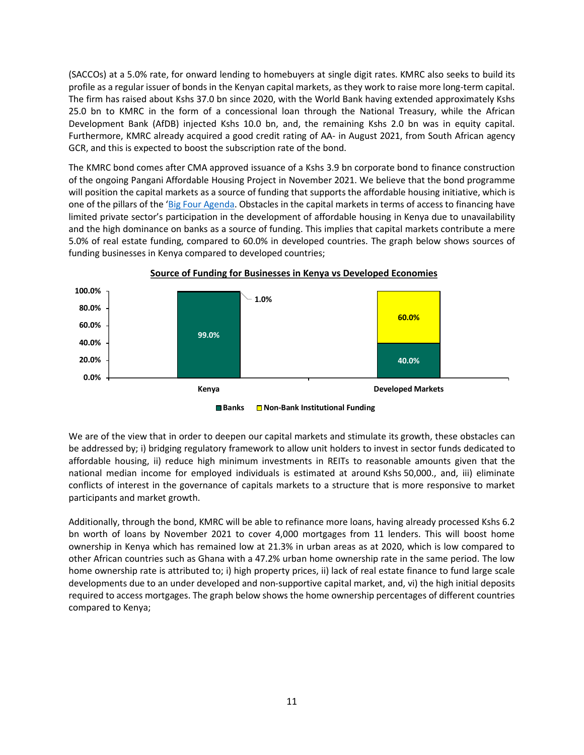(SACCOs) at a 5.0% rate, for onward lending to homebuyers at single digit rates. KMRC also seeks to build its profile as a regular issuer of bonds in the Kenyan capital markets, as they work to raise more long-term capital. The firm has raised about Kshs 37.0 bn since 2020, with the World Bank having extended approximately Kshs 25.0 bn to KMRC in the form of a concessional loan through the National Treasury, while the African Development Bank (AfDB) injected Kshs 10.0 bn, and, the remaining Kshs 2.0 bn was in equity capital. Furthermore, KMRC already acquired a good credit rating of AA- in August 2021, from South African agency GCR, and this is expected to boost the subscription rate of the bond.

The KMRC bond comes after CMA approved issuance of a Kshs 3.9 bn corporate bond to finance construction of the ongoing Pangani Affordable Housing Project in November 2021. We believe that the bond programme will position the capital markets as a source of funding that supports the affordable housing initiative, which is one of the pillars of the 'Big Four Agenda. Obstacles in the capital markets in terms of access to financing have limited private sector's participation in the development of affordable housing in Kenya due to unavailability and the high dominance on banks as a source of funding. This implies that capital markets contribute a mere 5.0% of real estate funding, compared to 60.0% in developed countries. The graph below shows sources of funding businesses in Kenya compared to developed countries;



### **Source of Funding for Businesses in Kenya vs Developed Economies**

**Banks Non-Bank Institutional Funding**

We are of the view that in order to deepen our capital markets and stimulate its growth, these obstacles can be addressed by; i) bridging regulatory framework to allow unit holders to invest in sector funds dedicated to affordable housing, ii) reduce high minimum investments in REITs to reasonable amounts given that the national median income for employed individuals is estimated at around Kshs 50,000., and, iii) eliminate conflicts of interest in the governance of capitals markets to a structure that is more responsive to market participants and market growth.

Additionally, through the bond, KMRC will be able to refinance more loans, having already processed Kshs 6.2 bn worth of loans by November 2021 to cover 4,000 mortgages from 11 lenders. This will boost home ownership in Kenya which has remained low at 21.3% in urban areas as at 2020, which is low compared to other African countries such as Ghana with a 47.2% urban home ownership rate in the same period. The low home ownership rate is attributed to; i) high property prices, ii) lack of real estate finance to fund large scale developments due to an under developed and non-supportive capital market, and, vi) the high initial deposits required to access mortgages. The graph below shows the home ownership percentages of different countries compared to Kenya;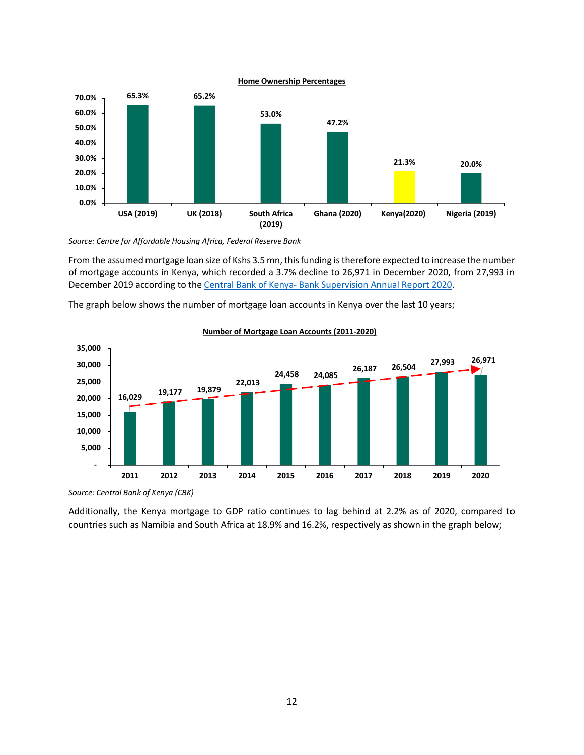

*Source: Centre for Affordable Housing Africa, Federal Reserve Bank*

From the assumed mortgage loan size of Kshs 3.5 mn, this funding is therefore expected to increase the number of mortgage accounts in Kenya, which recorded a 3.7% decline to 26,971 in December 2020, from 27,993 in December 2019 according to the Central Bank of Kenya- Bank Supervision Annual Report 2020.

The graph below shows the number of mortgage loan accounts in Kenya over the last 10 years;



#### **Number of Mortgage Loan Accounts (2011-2020)**

Additionally, the Kenya mortgage to GDP ratio continues to lag behind at 2.2% as of 2020, compared to countries such as Namibia and South Africa at 18.9% and 16.2%, respectively as shown in the graph below;

*Source: Central Bank of Kenya (CBK)*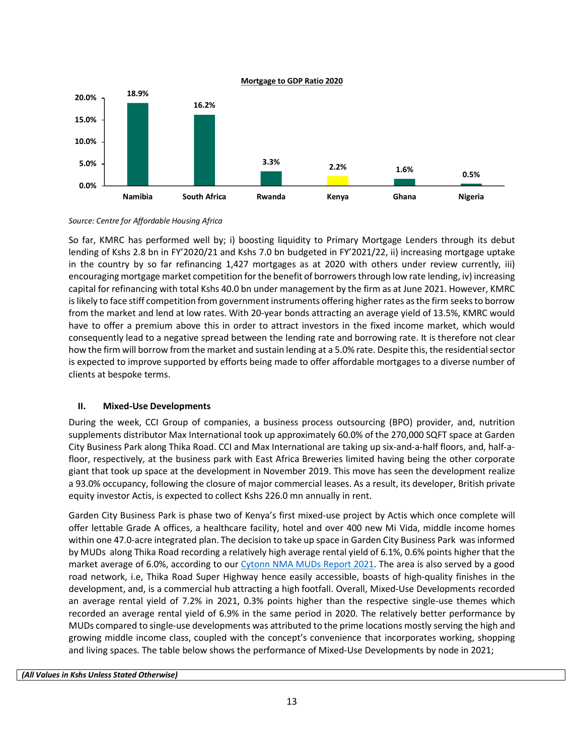

*Source: Centre for Affordable Housing Africa*

So far, KMRC has performed well by; i) boosting liquidity to Primary Mortgage Lenders through its debut lending of Kshs 2.8 bn in FY'2020/21 and Kshs 7.0 bn budgeted in FY'2021/22, ii) increasing mortgage uptake in the country by so far refinancing 1,427 mortgages as at 2020 with others under review currently, iii) encouraging mortgage market competition for the benefit of borrowers through low rate lending, iv) increasing capital for refinancing with total Kshs 40.0 bn under management by the firm as at June 2021. However, KMRC is likely to face stiff competition from government instruments offering higher rates as the firm seeks to borrow from the market and lend at low rates. With 20-year bonds attracting an average yield of 13.5%, KMRC would have to offer a premium above this in order to attract investors in the fixed income market, which would consequently lead to a negative spread between the lending rate and borrowing rate. It is therefore not clear how the firm will borrow from the market and sustain lending at a 5.0% rate. Despite this, the residential sector is expected to improve supported by efforts being made to offer affordable mortgages to a diverse number of clients at bespoke terms.

## **II. Mixed-Use Developments**

During the week, CCI Group of companies, a business process outsourcing (BPO) provider, and, nutrition supplements distributor Max International took up approximately 60.0% of the 270,000 SQFT space at Garden City Business Park along Thika Road. CCI and Max International are taking up six-and-a-half floors, and, half-afloor, respectively, at the business park with East Africa Breweries limited having being the other corporate giant that took up space at the development in November 2019. This move has seen the development realize a 93.0% occupancy, following the closure of major commercial leases. As a result, its developer, British private equity investor Actis, is expected to collect Kshs 226.0 mn annually in rent.

Garden City Business Park is phase two of Kenya's first mixed-use project by Actis which once complete will offer lettable Grade A offices, a healthcare facility, hotel and over 400 new Mi Vida, middle income homes within one 47.0-acre integrated plan. The decision to take up space in Garden City Business Park was informed by MUDs along Thika Road recording a relatively high average rental yield of 6.1%, 0.6% points higher that the market average of 6.0%, according to our Cytonn NMA MUDs Report 2021. The area is also served by a good road network, i.e, Thika Road Super Highway hence easily accessible, boasts of high-quality finishes in the development, and, is a commercial hub attracting a high footfall. Overall, Mixed-Use Developments recorded an average rental yield of 7.2% in 2021, 0.3% points higher than the respective single-use themes which recorded an average rental yield of 6.9% in the same period in 2020. The relatively better performance by MUDs compared to single-use developments was attributed to the prime locations mostly serving the high and growing middle income class, coupled with the concept's convenience that incorporates working, shopping and living spaces. The table below shows the performance of Mixed-Use Developments by node in 2021;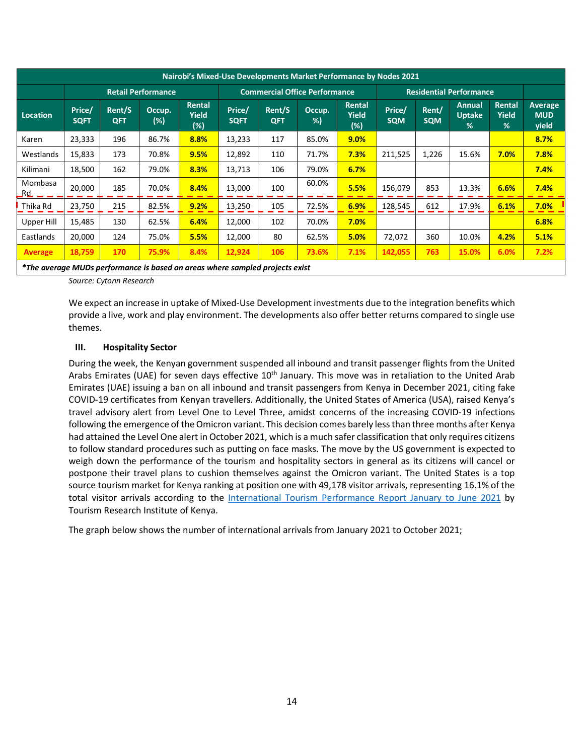|                 | Nairobi's Mixed-Use Developments Market Performance by Nodes 2021 |                      |                  |                        |                                      |                      |              |                                      |                                |                     |                                                 |                             |                                       |  |  |
|-----------------|-------------------------------------------------------------------|----------------------|------------------|------------------------|--------------------------------------|----------------------|--------------|--------------------------------------|--------------------------------|---------------------|-------------------------------------------------|-----------------------------|---------------------------------------|--|--|
|                 | <b>Retail Performance</b>                                         |                      |                  |                        | <b>Commercial Office Performance</b> |                      |              |                                      | <b>Residential Performance</b> |                     |                                                 |                             |                                       |  |  |
| <b>Location</b> | Price/<br><b>SQFT</b>                                             | Rent/S<br><b>QFT</b> | Occup.<br>$(\%)$ | Rental<br>Yield<br>(%) | Price/<br><b>SQFT</b>                | Rent/S<br><b>QFT</b> | Occup.<br>%) | <b>Rental</b><br><b>Yield</b><br>(%) | Price/<br><b>SQM</b>           | Rent/<br><b>SQM</b> | <b>Annual</b><br><b>Uptake</b><br>$\frac{9}{6}$ | <b>Rental</b><br>Yield<br>% | <b>Average</b><br><b>MUD</b><br>yield |  |  |
| Karen           | 23,333                                                            | 196                  | 86.7%            | 8.8%                   | 13,233                               | 117                  | 85.0%        | 9.0%                                 |                                |                     |                                                 |                             | 8.7%                                  |  |  |
| Westlands       | 15,833                                                            | 173                  | 70.8%            | 9.5%                   | 12,892                               | 110                  | 71.7%        | 7.3%                                 | 211,525                        | 1,226               | 15.6%                                           | 7.0%                        | 7.8%                                  |  |  |
| Kilimani        | 18,500                                                            | 162                  | 79.0%            | 8.3%                   | 13,713                               | 106                  | 79.0%        | 6.7%                                 |                                |                     |                                                 |                             | 7.4%                                  |  |  |
| Mombasa<br>_Rd_ | 20,000                                                            | 185                  | 70.0%            | 8.4%                   | 13,000                               | 100                  | 60.0%        | 5.5%                                 | 156,079                        | 853                 | 13.3%                                           | 6.6%                        | 7.4%                                  |  |  |
| Thika Rd        | 23,750                                                            | 215                  | 82.5%            | 9.2%                   | 13,250                               | 105                  | 72.5%        | 6.9%                                 | 128,545                        | 612                 | 17.9%                                           | 6.1%                        | 7.0%                                  |  |  |
| Upper Hill      | 15,485                                                            | 130                  | 62.5%            | 6.4%                   | 12,000                               | 102                  | 70.0%        | 7.0%                                 |                                |                     |                                                 |                             | 6.8%                                  |  |  |
| Eastlands       | 20,000                                                            | 124                  | 75.0%            | 5.5%                   | 12,000                               | 80                   | 62.5%        | 5.0%                                 | 72,072                         | 360                 | 10.0%                                           | 4.2%                        | 5.1%                                  |  |  |
| <b>Average</b>  | 18,759                                                            | 170                  | 75.9%            | 8.4%                   | 12,924                               | 106                  | 73.6%        | 7.1%                                 | 142,055                        | 763                 | 15.0%                                           | 6.0%                        | 7.2%                                  |  |  |

*\*The average MUDs performance is based on areas where sampled projects exist*

*Source: Cytonn Research* 

We expect an increase in uptake of Mixed-Use Development investments due to the integration benefits which provide a live, work and play environment. The developments also offer better returns compared to single use themes.

## **III. Hospitality Sector**

During the week, the Kenyan government suspended all inbound and transit passenger flights from the United Arabs Emirates (UAE) for seven days effective 10<sup>th</sup> January. This move was in retaliation to the United Arab Emirates (UAE) issuing a ban on all inbound and transit passengers from Kenya in December 2021, citing fake COVID-19 certificates from Kenyan travellers. Additionally, the United States of America (USA), raised Kenya's travel advisory alert from Level One to Level Three, amidst concerns of the increasing COVID-19 infections following the emergence of the Omicron variant. This decision comes barely less than three months after Kenya had attained the Level One alert in October 2021, which is a much safer classification that only requires citizens to follow standard procedures such as putting on face masks. The move by the US government is expected to weigh down the performance of the tourism and hospitality sectors in general as its citizens will cancel or postpone their travel plans to cushion themselves against the Omicron variant. The United States is a top source tourism market for Kenya ranking at position one with 49,178 visitor arrivals, representing 16.1% of the total visitor arrivals according to the International Tourism Performance Report January to June 2021 by Tourism Research Institute of Kenya.

The graph below shows the number of international arrivals from January 2021 to October 2021;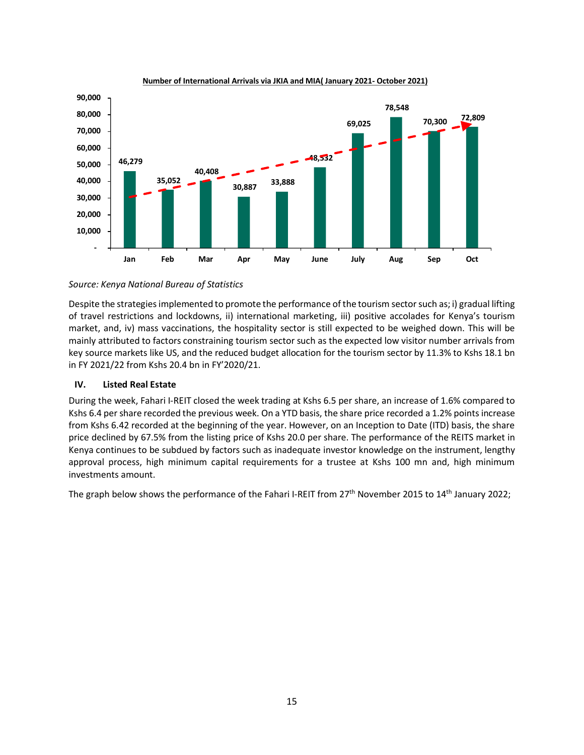

#### **Number of International Arrivals via JKIA and MIA( January 2021- October 2021)**

### *Source: Kenya National Bureau of Statistics*

Despite the strategies implemented to promote the performance of the tourism sector such as; i) gradual lifting of travel restrictions and lockdowns, ii) international marketing, iii) positive accolades for Kenya's tourism market, and, iv) mass vaccinations, the hospitality sector is still expected to be weighed down. This will be mainly attributed to factors constraining tourism sector such as the expected low visitor number arrivals from key source markets like US, and the reduced budget allocation for the tourism sector by 11.3% to Kshs 18.1 bn in FY 2021/22 from Kshs 20.4 bn in FY'2020/21.

## **IV. Listed Real Estate**

During the week, Fahari I-REIT closed the week trading at Kshs 6.5 per share, an increase of 1.6% compared to Kshs 6.4 per share recorded the previous week. On a YTD basis, the share price recorded a 1.2% points increase from Kshs 6.42 recorded at the beginning of the year. However, on an Inception to Date (ITD) basis, the share price declined by 67.5% from the listing price of Kshs 20.0 per share. The performance of the REITS market in Kenya continues to be subdued by factors such as inadequate investor knowledge on the instrument, lengthy approval process, high minimum capital requirements for a trustee at Kshs 100 mn and, high minimum investments amount.

The graph below shows the performance of the Fahari I-REIT from 27<sup>th</sup> November 2015 to 14<sup>th</sup> January 2022;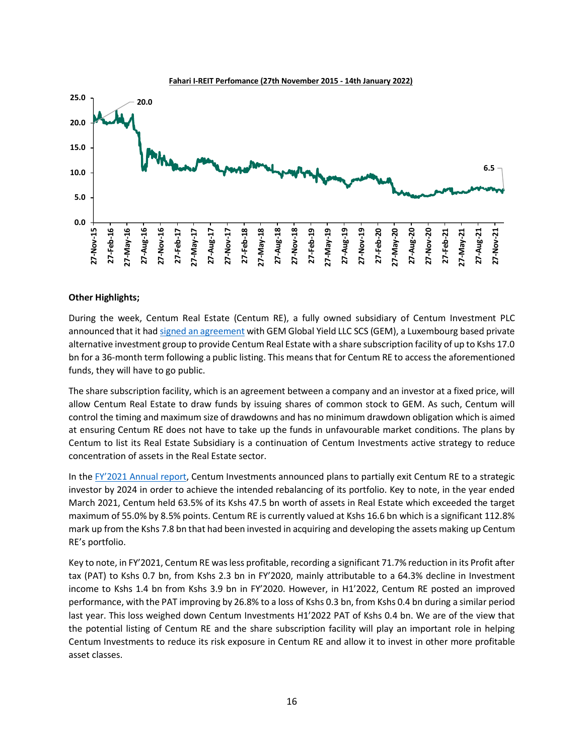

### **Other Highlights;**

During the week, Centum Real Estate (Centum RE), a fully owned subsidiary of Centum Investment PLC announced that it had signed an agreement with GEM Global Yield LLC SCS (GEM), a Luxembourg based private alternative investment group to provide Centum Real Estate with a share subscription facility of up to Kshs 17.0 bn for a 36-month term following a public listing. This means that for Centum RE to access the aforementioned funds, they will have to go public.

The share subscription facility, which is an agreement between a company and an investor at a fixed price, will allow Centum Real Estate to draw funds by issuing shares of common stock to GEM. As such, Centum will control the timing and maximum size of drawdowns and has no minimum drawdown obligation which is aimed at ensuring Centum RE does not have to take up the funds in unfavourable market conditions. The plans by Centum to list its Real Estate Subsidiary is a continuation of Centum Investments active strategy to reduce concentration of assets in the Real Estate sector.

In the FY'2021 Annual report, Centum Investments announced plans to partially exit Centum RE to a strategic investor by 2024 in order to achieve the intended rebalancing of its portfolio. Key to note, in the year ended March 2021, Centum held 63.5% of its Kshs 47.5 bn worth of assets in Real Estate which exceeded the target maximum of 55.0% by 8.5% points. Centum RE is currently valued at Kshs 16.6 bn which is a significant 112.8% mark up from the Kshs 7.8 bn that had been invested in acquiring and developing the assets making up Centum RE's portfolio.

Key to note, in FY'2021, Centum RE was less profitable, recording a significant 71.7% reduction in its Profit after tax (PAT) to Kshs 0.7 bn, from Kshs 2.3 bn in FY'2020, mainly attributable to a 64.3% decline in Investment income to Kshs 1.4 bn from Kshs 3.9 bn in FY'2020. However, in H1'2022, Centum RE posted an improved performance, with the PAT improving by 26.8% to a loss of Kshs 0.3 bn, from Kshs 0.4 bn during a similar period last year. This loss weighed down Centum Investments H1'2022 PAT of Kshs 0.4 bn. We are of the view that the potential listing of Centum RE and the share subscription facility will play an important role in helping Centum Investments to reduce its risk exposure in Centum RE and allow it to invest in other more profitable asset classes.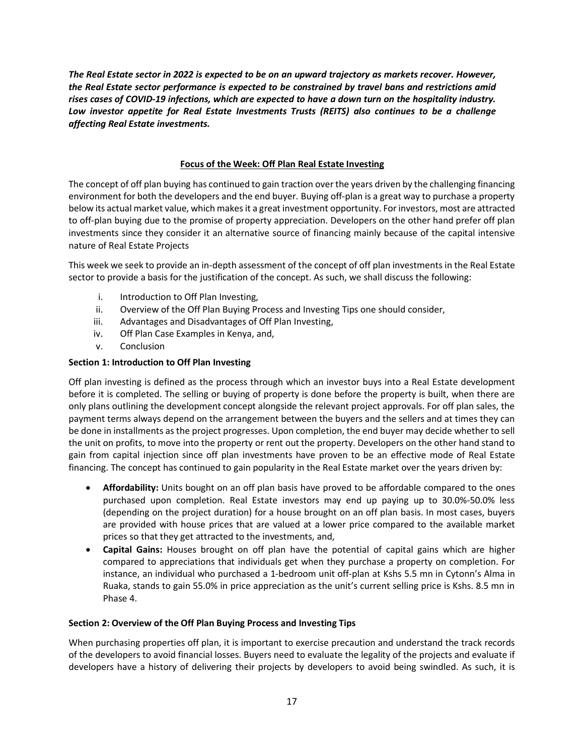*The Real Estate sector in 2022 is expected to be on an upward trajectory as markets recover. However, the Real Estate sector performance is expected to be constrained by travel bans and restrictions amid rises cases of COVID-19 infections, which are expected to have a down turn on the hospitality industry. Low investor appetite for Real Estate Investments Trusts (REITS) also continues to be a challenge affecting Real Estate investments.*

# **Focus of the Week: Off Plan Real Estate Investing**

The concept of off plan buying has continued to gain traction over the years driven by the challenging financing environment for both the developers and the end buyer. Buying off-plan is a great way to purchase a property below its actual market value, which makes it a great investment opportunity. For investors, most are attracted to off-plan buying due to the promise of property appreciation. Developers on the other hand prefer off plan investments since they consider it an alternative source of financing mainly because of the capital intensive nature of Real Estate Projects

This week we seek to provide an in-depth assessment of the concept of off plan investments in the Real Estate sector to provide a basis for the justification of the concept. As such, we shall discuss the following:

- i. Introduction to Off Plan Investing,
- ii. Overview of the Off Plan Buying Process and Investing Tips one should consider,
- iii. Advantages and Disadvantages of Off Plan Investing,
- iv. Off Plan Case Examples in Kenya, and,
- v. Conclusion

# **Section 1: Introduction to Off Plan Investing**

Off plan investing is defined as the process through which an investor buys into a Real Estate development before it is completed. The selling or buying of property is done before the property is built, when there are only plans outlining the development concept alongside the relevant project approvals. For off plan sales, the payment terms always depend on the arrangement between the buyers and the sellers and at times they can be done in installments as the project progresses. Upon completion, the end buyer may decide whether to sell the unit on profits, to move into the property or rent out the property. Developers on the other hand stand to gain from capital injection since off plan investments have proven to be an effective mode of Real Estate financing. The concept has continued to gain popularity in the Real Estate market over the years driven by:

- **Affordability:** Units bought on an off plan basis have proved to be affordable compared to the ones purchased upon completion. Real Estate investors may end up paying up to 30.0%-50.0% less (depending on the project duration) for a house brought on an off plan basis. In most cases, buyers are provided with house prices that are valued at a lower price compared to the available market prices so that they get attracted to the investments, and,
- **Capital Gains:** Houses brought on off plan have the potential of capital gains which are higher compared to appreciations that individuals get when they purchase a property on completion. For instance, an individual who purchased a 1-bedroom unit off-plan at Kshs 5.5 mn in Cytonn's Alma in Ruaka, stands to gain 55.0% in price appreciation as the unit's current selling price is Kshs. 8.5 mn in Phase 4.

## **Section 2: Overview of the Off Plan Buying Process and Investing Tips**

When purchasing properties off plan, it is important to exercise precaution and understand the track records of the developers to avoid financial losses. Buyers need to evaluate the legality of the projects and evaluate if developers have a history of delivering their projects by developers to avoid being swindled. As such, it is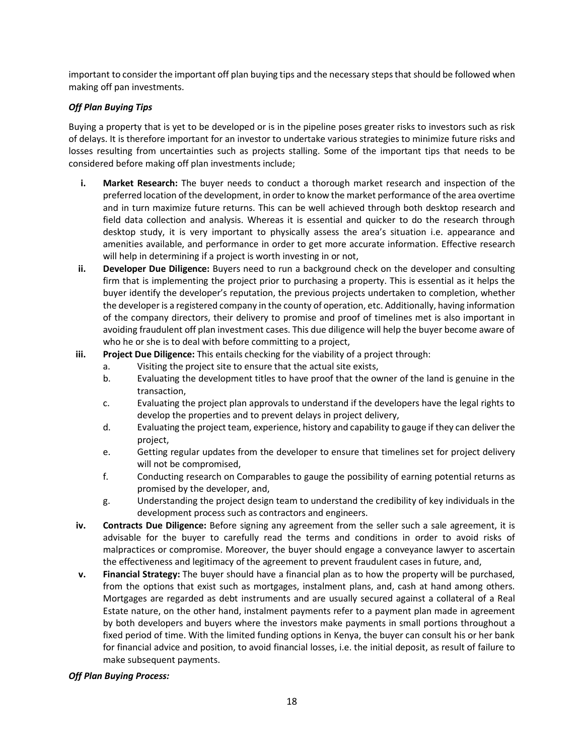important to consider the important off plan buying tips and the necessary steps that should be followed when making off pan investments.

# *Off Plan Buying Tips*

Buying a property that is yet to be developed or is in the pipeline poses greater risks to investors such as risk of delays. It is therefore important for an investor to undertake various strategies to minimize future risks and losses resulting from uncertainties such as projects stalling. Some of the important tips that needs to be considered before making off plan investments include;

- **i. Market Research:** The buyer needs to conduct a thorough market research and inspection of the preferred location of the development, in order to know the market performance of the area overtime and in turn maximize future returns. This can be well achieved through both desktop research and field data collection and analysis. Whereas it is essential and quicker to do the research through desktop study, it is very important to physically assess the area's situation i.e. appearance and amenities available, and performance in order to get more accurate information. Effective research will help in determining if a project is worth investing in or not,
- **ii. Developer Due Diligence:** Buyers need to run a background check on the developer and consulting firm that is implementing the project prior to purchasing a property. This is essential as it helps the buyer identify the developer's reputation, the previous projects undertaken to completion, whether the developer is a registered company in the county of operation, etc. Additionally, having information of the company directors, their delivery to promise and proof of timelines met is also important in avoiding fraudulent off plan investment cases. This due diligence will help the buyer become aware of who he or she is to deal with before committing to a project,
- **iii. Project Due Diligence:** This entails checking for the viability of a project through:
	- a. Visiting the project site to ensure that the actual site exists,
	- b. Evaluating the development titles to have proof that the owner of the land is genuine in the transaction,
	- c. Evaluating the project plan approvals to understand if the developers have the legal rights to develop the properties and to prevent delays in project delivery,
	- d. Evaluating the project team, experience, history and capability to gauge if they can deliver the project,
	- e. Getting regular updates from the developer to ensure that timelines set for project delivery will not be compromised,
	- f. Conducting research on Comparables to gauge the possibility of earning potential returns as promised by the developer, and,
	- g. Understanding the project design team to understand the credibility of key individuals in the development process such as contractors and engineers.
- **iv. Contracts Due Diligence:** Before signing any agreement from the seller such a sale agreement, it is advisable for the buyer to carefully read the terms and conditions in order to avoid risks of malpractices or compromise. Moreover, the buyer should engage a conveyance lawyer to ascertain the effectiveness and legitimacy of the agreement to prevent fraudulent cases in future, and,
- **v. Financial Strategy:** The buyer should have a financial plan as to how the property will be purchased, from the options that exist such as mortgages, instalment plans, and, cash at hand among others. Mortgages are regarded as debt instruments and are usually secured against a collateral of a Real Estate nature, on the other hand, instalment payments refer to a payment plan made in agreement by both developers and buyers where the investors make payments in small portions throughout a fixed period of time. With the limited funding options in Kenya, the buyer can consult his or her bank for financial advice and position, to avoid financial losses, i.e. the initial deposit, as result of failure to make subsequent payments.

## *Off Plan Buying Process:*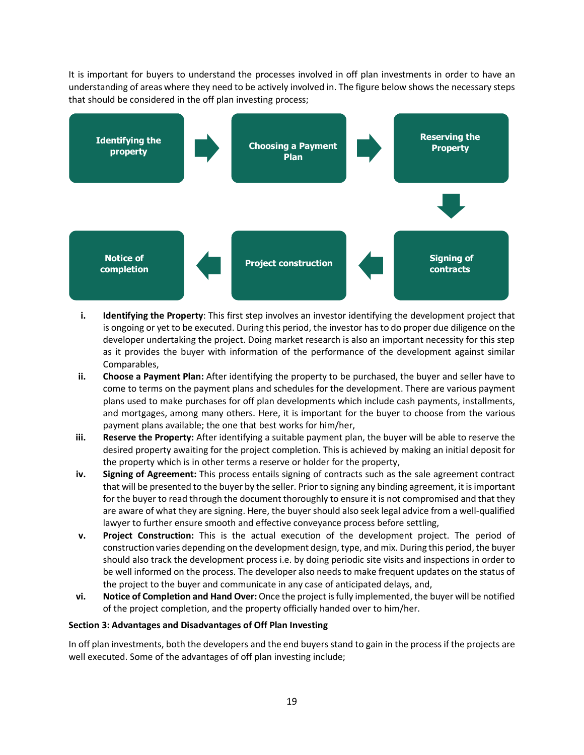It is important for buyers to understand the processes involved in off plan investments in order to have an understanding of areas where they need to be actively involved in. The figure below shows the necessary steps that should be considered in the off plan investing process;



- **i. Identifying the Property**: This first step involves an investor identifying the development project that is ongoing or yet to be executed. During this period, the investor has to do proper due diligence on the developer undertaking the project. Doing market research is also an important necessity for this step as it provides the buyer with information of the performance of the development against similar Comparables,
- **ii. Choose a Payment Plan:** After identifying the property to be purchased, the buyer and seller have to come to terms on the payment plans and schedules for the development. There are various payment plans used to make purchases for off plan developments which include cash payments, installments, and mortgages, among many others. Here, it is important for the buyer to choose from the various payment plans available; the one that best works for him/her,
- **iii. Reserve the Property:** After identifying a suitable payment plan, the buyer will be able to reserve the desired property awaiting for the project completion. This is achieved by making an initial deposit for the property which is in other terms a reserve or holder for the property,
- **iv. Signing of Agreement:** This process entails signing of contracts such as the sale agreement contract that will be presented to the buyer by the seller. Prior to signing any binding agreement, it is important for the buyer to read through the document thoroughly to ensure it is not compromised and that they are aware of what they are signing. Here, the buyer should also seek legal advice from a well-qualified lawyer to further ensure smooth and effective conveyance process before settling,
- **v. Project Construction:** This is the actual execution of the development project. The period of construction varies depending on the development design, type, and mix. During this period, the buyer should also track the development process i.e. by doing periodic site visits and inspections in order to be well informed on the process. The developer also needs to make frequent updates on the status of the project to the buyer and communicate in any case of anticipated delays, and,
- **vi. Notice of Completion and Hand Over:** Once the project is fully implemented, the buyer will be notified of the project completion, and the property officially handed over to him/her.

## **Section 3: Advantages and Disadvantages of Off Plan Investing**

In off plan investments, both the developers and the end buyers stand to gain in the process if the projects are well executed. Some of the advantages of off plan investing include;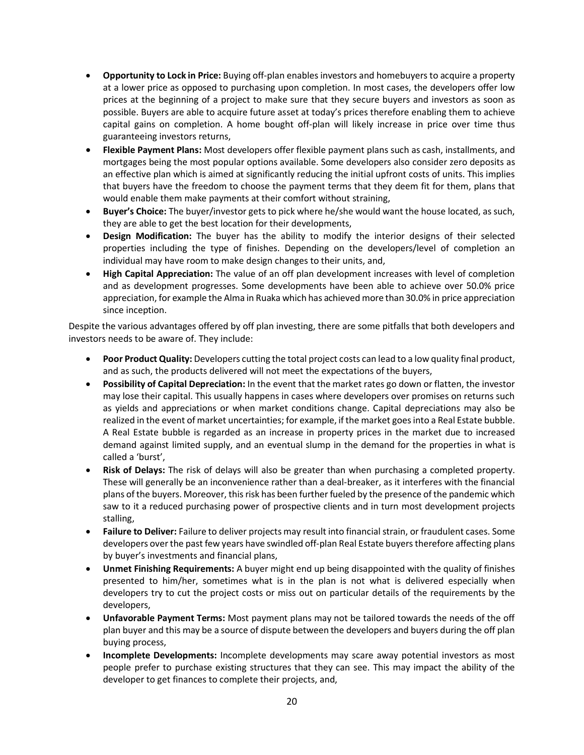- **Opportunity to Lock in Price:** Buying off-plan enables investors and homebuyers to acquire a property at a lower price as opposed to purchasing upon completion. In most cases, the developers offer low prices at the beginning of a project to make sure that they secure buyers and investors as soon as possible. Buyers are able to acquire future asset at today's prices therefore enabling them to achieve capital gains on completion. A home bought off-plan will likely increase in price over time thus guaranteeing investors returns,
- **Flexible Payment Plans:** Most developers offer flexible payment plans such as cash, installments, and mortgages being the most popular options available. Some developers also consider zero deposits as an effective plan which is aimed at significantly reducing the initial upfront costs of units. This implies that buyers have the freedom to choose the payment terms that they deem fit for them, plans that would enable them make payments at their comfort without straining,
- **Buyer's Choice:** The buyer/investor gets to pick where he/she would want the house located, as such, they are able to get the best location for their developments,
- **Design Modification:** The buyer has the ability to modify the interior designs of their selected properties including the type of finishes. Depending on the developers/level of completion an individual may have room to make design changes to their units, and,
- **High Capital Appreciation:** The value of an off plan development increases with level of completion and as development progresses. Some developments have been able to achieve over 50.0% price appreciation, for example the Alma in Ruaka which has achieved more than 30.0% in price appreciation since inception.

Despite the various advantages offered by off plan investing, there are some pitfalls that both developers and investors needs to be aware of. They include:

- **Poor Product Quality:** Developers cutting the total project costs can lead to a low quality final product, and as such, the products delivered will not meet the expectations of the buyers,
- **Possibility of Capital Depreciation:** In the event that the market rates go down or flatten, the investor may lose their capital. This usually happens in cases where developers over promises on returns such as yields and appreciations or when market conditions change. Capital depreciations may also be realized in the event of market uncertainties; for example, if the market goes into a Real Estate bubble. A Real Estate bubble is regarded as an increase in property prices in the market due to increased demand against limited supply, and an eventual slump in the demand for the properties in what is called a 'burst',
- **Risk of Delays:** The risk of delays will also be greater than when purchasing a completed property. These will generally be an inconvenience rather than a deal-breaker, as it interferes with the financial plans of the buyers. Moreover, this risk has been further fueled by the presence of the pandemic which saw to it a reduced purchasing power of prospective clients and in turn most development projects stalling,
- **Failure to Deliver:** Failure to deliver projects may result into financial strain, or fraudulent cases. Some developers over the past few years have swindled off-plan Real Estate buyers therefore affecting plans by buyer's investments and financial plans,
- **Unmet Finishing Requirements:** A buyer might end up being disappointed with the quality of finishes presented to him/her, sometimes what is in the plan is not what is delivered especially when developers try to cut the project costs or miss out on particular details of the requirements by the developers,
- **Unfavorable Payment Terms:** Most payment plans may not be tailored towards the needs of the off plan buyer and this may be a source of dispute between the developers and buyers during the off plan buying process,
- **Incomplete Developments:** Incomplete developments may scare away potential investors as most people prefer to purchase existing structures that they can see. This may impact the ability of the developer to get finances to complete their projects, and,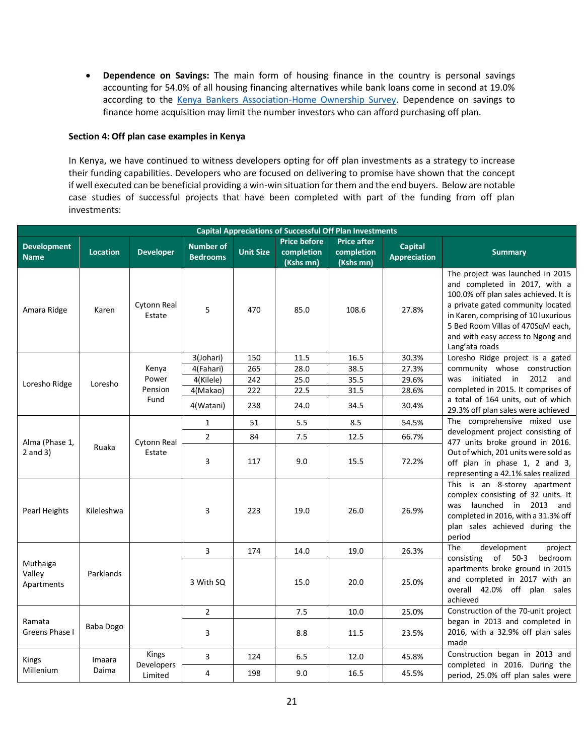• **Dependence on Savings:** The main form of housing finance in the country is personal savings accounting for 54.0% of all housing financing alternatives while bank loans come in second at 19.0% according to the Kenya Bankers Association-Home Ownership Survey. Dependence on savings to finance home acquisition may limit the number investors who can afford purchasing off plan.

## **Section 4: Off plan case examples in Kenya**

In Kenya, we have continued to witness developers opting for off plan investments as a strategy to increase their funding capabilities. Developers who are focused on delivering to promise have shown that the concept if well executed can be beneficial providing a win-win situation for them and the end buyers. Below are notable case studies of successful projects that have been completed with part of the funding from off plan investments:

| <b>Capital Appreciations of Successful Off Plan Investments</b> |                 |                       |                                     |                  |                                                |                                               |                                       |                                                                                                                                                                                                                                                                                     |  |
|-----------------------------------------------------------------|-----------------|-----------------------|-------------------------------------|------------------|------------------------------------------------|-----------------------------------------------|---------------------------------------|-------------------------------------------------------------------------------------------------------------------------------------------------------------------------------------------------------------------------------------------------------------------------------------|--|
| <b>Development</b><br><b>Name</b>                               | <b>Location</b> | <b>Developer</b>      | <b>Number of</b><br><b>Bedrooms</b> | <b>Unit Size</b> | <b>Price before</b><br>completion<br>(Kshs mn) | <b>Price after</b><br>completion<br>(Kshs mn) | <b>Capital</b><br><b>Appreciation</b> | <b>Summary</b>                                                                                                                                                                                                                                                                      |  |
| Amara Ridge                                                     | Karen           | Cytonn Real<br>Estate | 5                                   | 470              | 85.0                                           | 108.6                                         | 27.8%                                 | The project was launched in 2015<br>and completed in 2017, with a<br>100.0% off plan sales achieved. It is<br>a private gated community located<br>in Karen, comprising of 10 luxurious<br>5 Bed Room Villas of 470SqM each,<br>and with easy access to Ngong and<br>Lang'ata roads |  |
|                                                                 |                 |                       | 3(Johari)                           | 150              | 11.5                                           | 16.5                                          | 30.3%                                 | Loresho Ridge project is a gated                                                                                                                                                                                                                                                    |  |
|                                                                 |                 | Kenya                 | 4(Fahari)                           | 265              | 28.0                                           | 38.5                                          | 27.3%                                 | community whose construction                                                                                                                                                                                                                                                        |  |
| Loresho Ridge<br>Loresho                                        |                 | Power                 | 4(Kilele)                           | 242              | 25.0                                           | 35.5                                          | 29.6%                                 | initiated in<br>2012<br>was<br>and                                                                                                                                                                                                                                                  |  |
|                                                                 |                 | Pension               | 4(Makao)                            | 222              | 22.5                                           | 31.5                                          | 28.6%                                 | completed in 2015. It comprises of                                                                                                                                                                                                                                                  |  |
|                                                                 |                 | Fund                  | 4(Watani)                           | 238              | 24.0                                           | 34.5                                          | 30.4%                                 | a total of 164 units, out of which<br>29.3% off plan sales were achieved                                                                                                                                                                                                            |  |
|                                                                 |                 |                       | $\mathbf{1}$                        | 51               | 5.5                                            | 8.5                                           | 54.5%                                 | The comprehensive mixed use                                                                                                                                                                                                                                                         |  |
|                                                                 | Ruaka           |                       | 2                                   | 84               | 7.5                                            | 12.5                                          | 66.7%                                 | development project consisting of                                                                                                                                                                                                                                                   |  |
| Alma (Phase 1,<br>$2$ and $3)$                                  |                 | Cytonn Real<br>Estate | 3                                   | 117              | 9.0                                            | 15.5                                          | 72.2%                                 | 477 units broke ground in 2016.<br>Out of which, 201 units were sold as<br>off plan in phase 1, 2 and 3,<br>representing a 42.1% sales realized                                                                                                                                     |  |
| Pearl Heights                                                   | Kileleshwa      |                       | 3                                   | 223              | 19.0                                           | 26.0                                          | 26.9%                                 | This is an 8-storey apartment<br>complex consisting of 32 units. It<br>was launched in 2013<br>and<br>completed in 2016, with a 31.3% off<br>plan sales achieved during the<br>period                                                                                               |  |
|                                                                 |                 |                       | 3                                   | 174              | 14.0                                           | 19.0                                          | 26.3%                                 | development<br><b>The</b><br>project                                                                                                                                                                                                                                                |  |
| Muthaiga<br>Valley<br>Parklands<br>Apartments                   |                 |                       | 3 With SQ                           |                  | 15.0                                           | 20.0                                          | 25.0%                                 | consisting<br>of<br>$50-3$<br>bedroom<br>apartments broke ground in 2015<br>and completed in 2017 with an<br>overall 42.0% off plan sales<br>achieved                                                                                                                               |  |
|                                                                 |                 |                       | $\overline{2}$                      |                  | 7.5                                            | 10.0                                          | 25.0%                                 | Construction of the 70-unit project                                                                                                                                                                                                                                                 |  |
| Ramata<br>Greens Phase I                                        | Baba Dogo       |                       | 3                                   |                  | 8.8                                            | 11.5                                          | 23.5%                                 | began in 2013 and completed in<br>2016, with a 32.9% off plan sales<br>made                                                                                                                                                                                                         |  |
| <b>Kings</b>                                                    | Imaara          | Kings                 | 3                                   | 124              | 6.5                                            | 12.0                                          | 45.8%                                 | Construction began in 2013 and                                                                                                                                                                                                                                                      |  |
| Millenium                                                       | Daima           | Developers<br>Limited | 4                                   | 198              | 9.0                                            | 16.5                                          | 45.5%                                 | completed in 2016. During the<br>period, 25.0% off plan sales were                                                                                                                                                                                                                  |  |